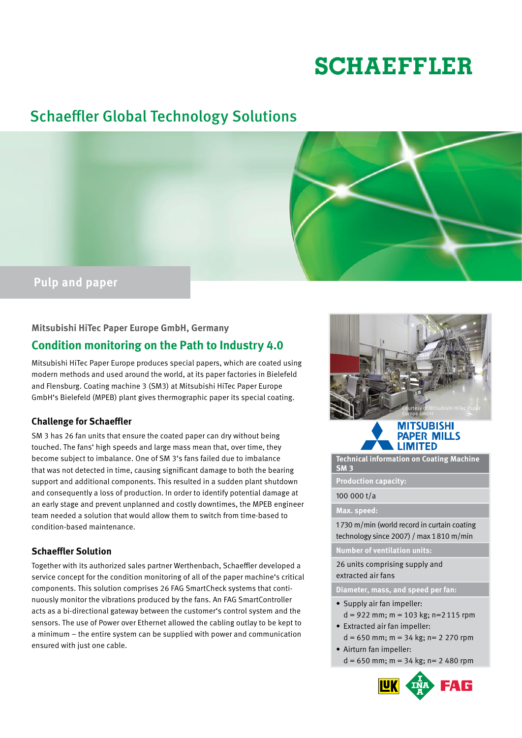# **SCHAEFFLER**

# Schaeffler Global Technology Solutions



### **Mitsubishi HiTec Paper Europe GmbH, Germany**

# **Condition monitoring on the Path to Industry 4.0**

Mitsubishi HiTec Paper Europe produces special papers, which are coated using modern methods and used around the world, at its paper factories in Bielefeld and Flensburg. Coating machine 3 (SM3) at Mitsubishi HiTec Paper Europe GmbH's Bielefeld (MPEB) plant gives thermographic paper its special coating.

# **Challenge for Schaeffler**

SM 3 has 26 fan units that ensure the coated paper can dry without being touched. The fans' high speeds and large mass mean that, over time, they become subject to imbalance. One of SM 3's fans failed due to imbalance that was not detected in time, causing significant damage to both the bearing support and additional components. This resulted in a sudden plant shutdown and consequently a loss of production. In order to identify potential damage at an early stage and prevent unplanned and costly downtimes, the MPEB engineer team needed a solution that would allow them to switch from time-based to condition-based maintenance.

## **Schaeffler Solution**

Together with its authorized sales partner Werthenbach, Schaeffler developed a service concept for the condition monitoring of all of the paper machine's critical components. This solution comprises 26 FAG SmartCheck systems that continuously monitor the vibrations produced by the fans. An FAG SmartController acts as a bi-directional gateway between the customer's control system and the sensors. The use of Power over Ethernet allowed the cabling outlay to be kept to a minimum – the entire system can be supplied with power and communication ensured with just one cable.





**Technical information on Coating Machine SM 3** 

**Production capacity:**

#### 100 000 t/a

#### **Max. speed:**

1 730 m/min (world record in curtain coating technology since 2007) / max 1810 m/min

**Number of ventilation units:**

26 units comprising supply and extracted air fans

**Diameter, mass, and speed per fan:** 

- Supply air fan impeller:  $d = 922$  mm;  $m = 103$  kg;  $n = 2115$  rpm
- Extracted air fan impeller:  $d = 650$  mm;  $m = 34$  kg;  $n = 2$  270 rpm
- Airturn fan impeller:  $d = 650$  mm; m = 34 kg; n = 2 480 rpm